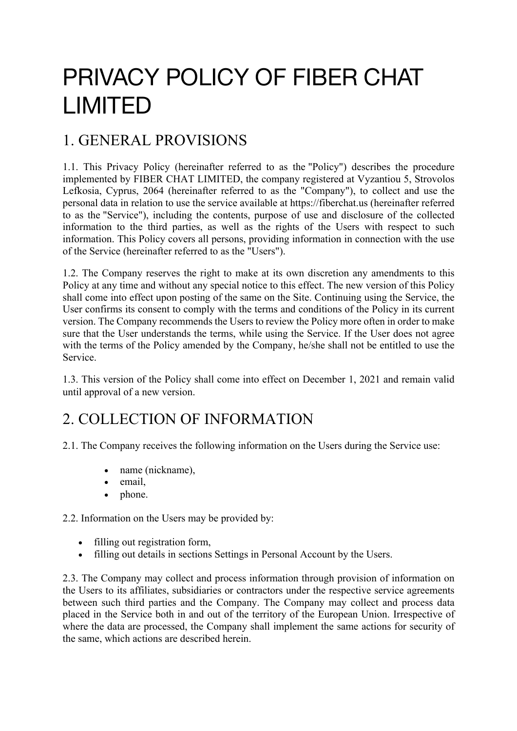# PRIVACY POLICY OF FIBER CHAT LIMITED

## 1. GENERAL PROVISIONS

1.1. This Privacy Policy (hereinafter referred to as the "Policy") describes the procedure implemented by FIBER CHAT LIMITED, the company registered at Vyzantiou 5, Strovolos Lefkosia, Cyprus, 2064 (hereinafter referred to as the "Company"), to collect and use the personal data in relation to use the service available at https://fiberchat.us (hereinafter referred to as the "Service"), including the contents, purpose of use and disclosure of the collected information to the third parties, as well as the rights of the Users with respect to such information. This Policy covers all persons, providing information in connection with the use of the Service (hereinafter referred to as the "Users").

1.2. The Company reserves the right to make at its own discretion any amendments to this Policy at any time and without any special notice to this effect. The new version of this Policy shall come into effect upon posting of the same on the Site. Continuing using the Service, the User confirms its consent to comply with the terms and conditions of the Policy in its current version. The Company recommends the Users to review the Policy more often in order to make sure that the User understands the terms, while using the Service. If the User does not agree with the terms of the Policy amended by the Company, he/she shall not be entitled to use the Service.

1.3. This version of the Policy shall come into effect on December 1, 2021 and remain valid until approval of a new version.

## 2. COLLECTION OF INFORMATION

2.1. The Company receives the following information on the Users during the Service use:

- name (nickname),
- email,
- phone.

2.2. Information on the Users may be provided by:

- filling out registration form,
- filling out details in sections Settings in Personal Account by the Users.

2.3. The Company may collect and process information through provision of information on the Users to its affiliates, subsidiaries or contractors under the respective service agreements between such third parties and the Company. The Company may collect and process data placed in the Service both in and out of the territory of the European Union. Irrespective of where the data are processed, the Company shall implement the same actions for security of the same, which actions are described herein.